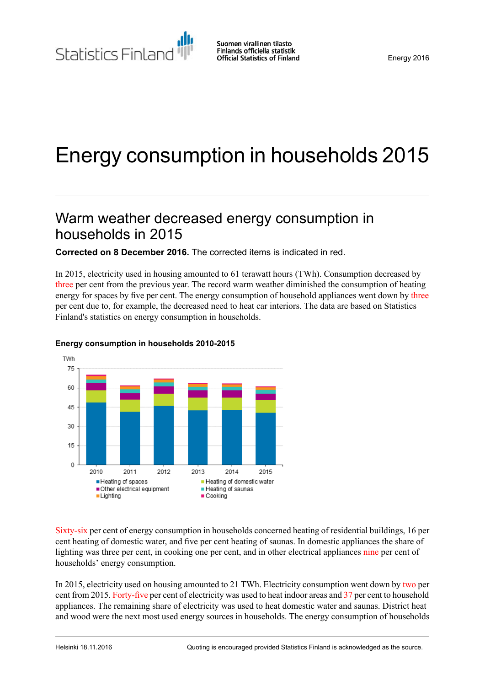Statistics Finland

# Energy consumption in households 2015

# Warm weather decreased energy consumption in households in 2015

**Corrected on 8 December 2016.** The corrected items is indicated in red.

In 2015, electricity used in housing amounted to 61 terawatt hours (TWh). Consumption decreased by three per cent from the previous year. The record warm weather diminished the consumption of heating energy for spaces by five per cent. The energy consumption of household appliances went down by three per cent due to, for example, the decreased need to heat car interiors. The data are based on Statistics Finland's statistics on energy consumption in households.



#### **Energy consumption in households 2010-2015**

Sixty-six per cent of energy consumption in households concerned heating of residential buildings, 16 per cent heating of domestic water, and five per cent heating of saunas. In domestic appliances the share of lighting was three per cent, in cooking one per cent, and in other electrical appliances nine per cent of households' energy consumption.

In 2015, electricity used on housing amounted to 21 TWh. Electricity consumption went down by two per cent from 2015. Forty-five per cent of electricity was used to heat indoor areas and 37 per cent to household appliances. The remaining share of electricity was used to heat domestic water and saunas. District heat and wood were the next most used energy sources in households. The energy consumption of households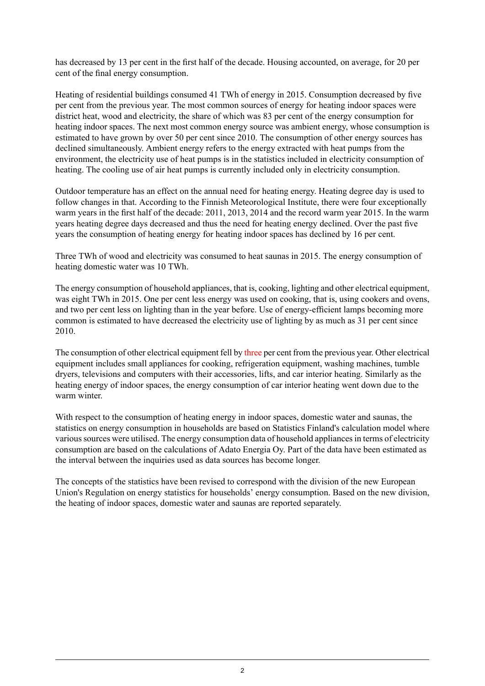has decreased by 13 per cent in the first half of the decade. Housing accounted, on average, for 20 per cent of the final energy consumption.

Heating of residential buildings consumed 41 TWh of energy in 2015. Consumption decreased by five per cent from the previous year. The most common sources of energy for heating indoor spaces were district heat, wood and electricity, the share of which was 83 per cent of the energy consumption for heating indoor spaces. The next most common energy source was ambient energy, whose consumption is estimated to have grown by over 50 per cent since 2010. The consumption of other energy sources has declined simultaneously. Ambient energy refers to the energy extracted with heat pumps from the environment, the electricity use of heat pumps is in the statistics included in electricity consumption of heating. The cooling use of air heat pumps is currently included only in electricity consumption.

Outdoor temperature has an effect on the annual need for heating energy. Heating degree day is used to follow changes in that. According to the Finnish Meteorological Institute, there were four exceptionally warm years in the first half of the decade: 2011, 2013, 2014 and the record warm year 2015. In the warm years heating degree days decreased and thus the need for heating energy declined. Over the past five years the consumption of heating energy for heating indoor spaces has declined by 16 per cent.

Three TWh of wood and electricity was consumed to heat saunas in 2015. The energy consumption of heating domestic water was 10 TWh.

The energy consumption of household appliances, that is, cooking, lighting and other electrical equipment, was eight TWh in 2015. One per cent less energy was used on cooking, that is, using cookers and ovens, and two per cent less on lighting than in the year before. Use of energy-efficient lamps becoming more common is estimated to have decreased the electricity use of lighting by as much as 31 per cent since 2010.

The consumption of other electrical equipment fell by three per cent from the previous year. Other electrical equipment includes small appliances for cooking, refrigeration equipment, washing machines, tumble dryers, televisions and computers with their accessories, lifts, and car interior heating. Similarly as the heating energy of indoor spaces, the energy consumption of car interior heating went down due to the warm winter.

With respect to the consumption of heating energy in indoor spaces, domestic water and saunas, the statistics on energy consumption in households are based on Statistics Finland's calculation model where various sources were utilised. The energy consumption data of household appliances in terms of electricity consumption are based on the calculations of Adato Energia Oy. Part of the data have been estimated as the interval between the inquiries used as data sources has become longer.

The concepts of the statistics have been revised to correspond with the division of the new European Union's Regulation on energy statistics for households' energy consumption. Based on the new division, the heating of indoor spaces, domestic water and saunas are reported separately.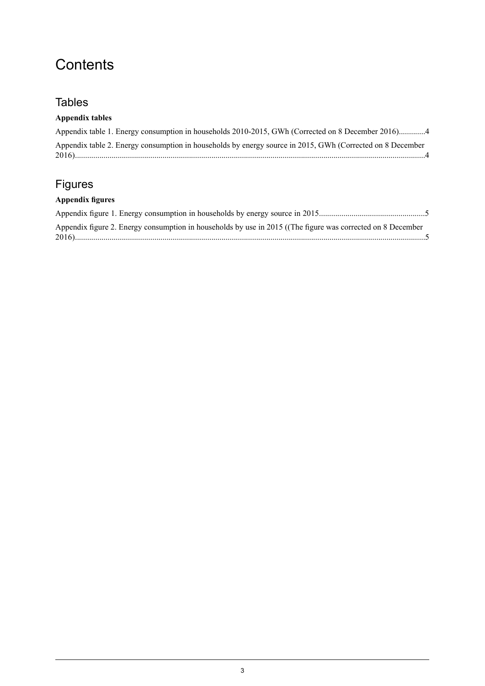# **Contents**

### **Tables**

### **Appendix tables**

| Appendix table 1. Energy consumption in households 2010-2015, GWh (Corrected on 8 December 2016)4         |  |
|-----------------------------------------------------------------------------------------------------------|--|
| Appendix table 2. Energy consumption in households by energy source in 2015, GWh (Corrected on 8 December |  |

## Figures

### **Appendix figures**

| Appendix figure 2. Energy consumption in households by use in 2015 ((The figure was corrected on 8 December |  |
|-------------------------------------------------------------------------------------------------------------|--|
|                                                                                                             |  |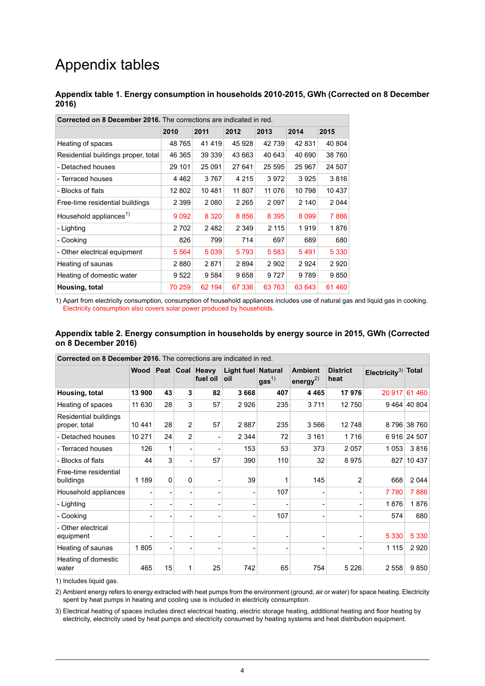# Appendix tables

<span id="page-3-0"></span>**Appendix table 1. Energy consumption in households 2010-2015, GWh (Corrected on 8 December 2016)**

| <b>Corrected on 8 December 2016.</b> The corrections are indicated in red. |         |         |         |         |         |         |  |  |
|----------------------------------------------------------------------------|---------|---------|---------|---------|---------|---------|--|--|
|                                                                            | 2010    | 2011    | 2012    | 2013    | 2014    | 2015    |  |  |
| Heating of spaces                                                          | 48 765  | 41419   | 45 928  | 42 739  | 42831   | 40 804  |  |  |
| Residential buildings proper, total                                        | 46 365  | 39 339  | 43 663  | 40 643  | 40 690  | 38 760  |  |  |
| - Detached houses                                                          | 29 101  | 25 091  | 27 641  | 25 5 95 | 25 967  | 24 507  |  |  |
| - Terraced houses                                                          | 4 462   | 3767    | 4 2 1 5 | 3972    | 3925    | 3816    |  |  |
| - Blocks of flats                                                          | 12 802  | 10481   | 11 807  | 11 076  | 10798   | 10 437  |  |  |
| Free-time residential buildings                                            | 2 3 9 9 | 2080    | 2 2 6 5 | 2 0 9 7 | 2 140   | 2 0 4 4 |  |  |
| Household appliances <sup>1)</sup>                                         | 9 0 9 2 | 8 3 2 0 | 8856    | 8 3 9 5 | 8 0 9 9 | 7886    |  |  |
| - Lighting                                                                 | 2702    | 2482    | 2 3 4 9 | 2 1 1 5 | 1919    | 1876    |  |  |
| - Cooking                                                                  | 826     | 799     | 714     | 697     | 689     | 680     |  |  |
| - Other electrical equipment                                               | 5 5 6 4 | 5039    | 5793    | 5 5 8 3 | 5491    | 5 3 3 0 |  |  |
| Heating of saunas                                                          | 2880    | 2871    | 2894    | 2 9 0 2 | 2924    | 2920    |  |  |
| Heating of domestic water                                                  | 9522    | 9584    | 9658    | 9727    | 9789    | 9850    |  |  |
| Housing, total                                                             | 70 259  | 62 194  | 67 336  | 63763   | 63 643  | 61 460  |  |  |

<span id="page-3-1"></span>1) Apart from electricity consumption, consumption of household appliances includes use of natural gas and liquid gas in cooking. Electricity consumption also covers solar power produced by households.

#### **Appendix table 2. Energy consumption in households by energy source in 2015, GWh (Corrected on 8 December 2016)**

| Corrected on 8 December 2016. The corrections are indicated in red. |         |          |                |                             |                           |                  |                                  |                         |                                 |             |
|---------------------------------------------------------------------|---------|----------|----------------|-----------------------------|---------------------------|------------------|----------------------------------|-------------------------|---------------------------------|-------------|
|                                                                     | Wood    |          |                | Peat Coal Heavy<br>fuel oil | Light fuel Natural<br>oil | gas <sup>1</sup> | <b>Ambient</b><br>energy $^{2)}$ | <b>District</b><br>heat | Electricity <sup>3)</sup> Total |             |
| Housing, total                                                      | 13 900  | 43       | 3              | 82                          | 3668                      | 407              | 4 4 6 5                          | 17976                   | 20 917                          | 61 460      |
| Heating of spaces                                                   | 11 630  | 28       | 3              | 57                          | 2926                      | 235              | 3711                             | 12750                   |                                 | 9464 40804  |
| Residential buildings<br>proper, total                              | 10 441  | 28       | $\overline{2}$ | 57                          | 2887                      | 235              | 3566                             | 12748                   |                                 | 8796 38760  |
| - Detached houses                                                   | 10 271  | 24       | $\overline{2}$ | $\overline{\phantom{a}}$    | 2 3 4 4                   | 72               | 3 1 6 1                          | 1716                    |                                 | 6916 24 507 |
| - Terraced houses                                                   | 126     | 1        |                |                             | 153                       | 53               | 373                              | 2057                    | 1053                            | 3816        |
| - Blocks of flats                                                   | 44      | 3        |                | 57                          | 390                       | 110              | 32                               | 8975                    |                                 | 827 10 437  |
| Free-time residential<br>buildings                                  | 1 1 8 9 | $\Omega$ | $\Omega$       |                             | 39                        | 1                | 145                              | $\overline{2}$          | 668                             | 2044        |
| Household appliances                                                |         |          |                |                             |                           | 107              |                                  |                         | 7780                            | 7886        |
| - Lighting                                                          |         |          |                |                             |                           |                  |                                  |                         | 1876                            | 1876        |
| - Cooking                                                           |         |          |                |                             |                           | 107              | ۰                                |                         | 574                             | 680         |
| - Other electrical<br>equipment                                     |         |          |                |                             |                           |                  |                                  |                         | 5 3 3 0                         | 5 3 3 0     |
| Heating of saunas                                                   | 1805    |          |                |                             |                           |                  |                                  |                         | 1 1 1 5                         | 2920        |
| Heating of domestic<br>water                                        | 465     | 15       | 1              | 25                          | 742                       | 65               | 754                              | 5 2 2 6                 | 2 5 5 8                         | 9850        |

1) Includes liquid gas.

2) Ambient energy refers to energy extracted with heat pumps from the environment (ground, air or water) for space heating. Electricity spent by heat pumps in heating and cooling use is included in electricity consumption.

Electrical heating of spaces includes direct electrical heating, electric storage heating, additional heating and floor heating by 3) electricity, electricity used by heat pumps and electricity consumed by heating systems and heat distribution equipment.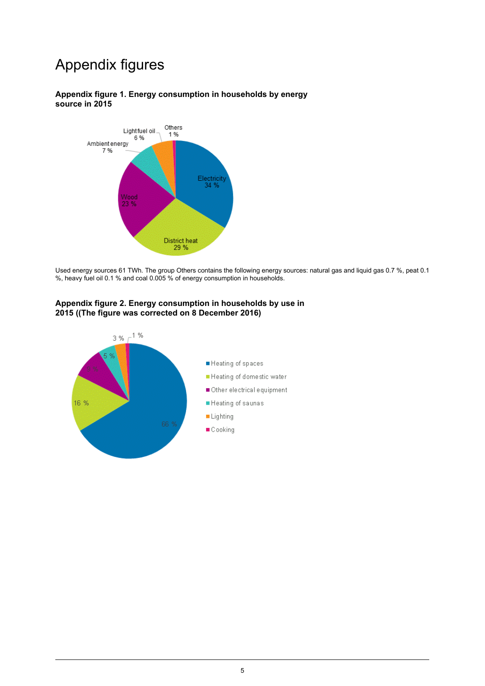# Appendix figures

#### <span id="page-4-0"></span>**Appendix figure 1. Energy consumption in households by energy source in 2015**



<span id="page-4-1"></span>Used energy sources 61 TWh. The group Others contains the following energy sources: natural gas and liquid gas 0.7 %, peat 0.1 %, heavy fuel oil 0.1 % and coal 0.005 % of energy consumption in households.

#### **Appendix figure 2. Energy consumption in households by use in 2015 ((The figure was corrected on 8 December 2016)**